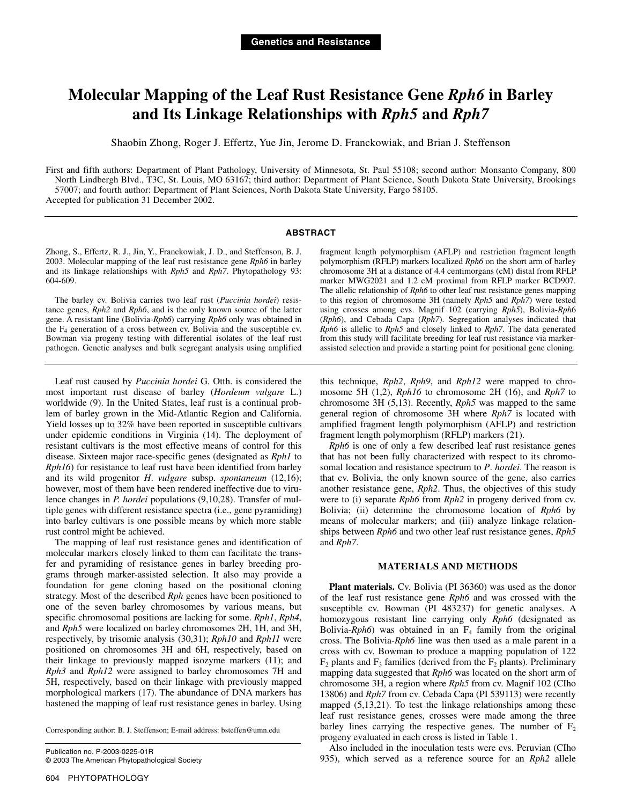# **Molecular Mapping of the Leaf Rust Resistance Gene** *Rph6* **in Barley and Its Linkage Relationships with** *Rph5* **and** *Rph7*

Shaobin Zhong, Roger J. Effertz, Yue Jin, Jerome D. Franckowiak, and Brian J. Steffenson

First and fifth authors: Department of Plant Pathology, University of Minnesota, St. Paul 55108; second author: Monsanto Company, 800 North Lindbergh Blvd., T3C, St. Louis, MO 63167; third author: Department of Plant Science, South Dakota State University, Brookings 57007; and fourth author: Department of Plant Sciences, North Dakota State University, Fargo 58105. Accepted for publication 31 December 2002.

# **ABSTRACT**

Zhong, S., Effertz, R. J., Jin, Y., Franckowiak, J. D., and Steffenson, B. J. 2003. Molecular mapping of the leaf rust resistance gene *Rph6* in barley and its linkage relationships with *Rph5* and *Rph7*. Phytopathology 93: 604-609.

The barley cv. Bolivia carries two leaf rust (*Puccinia hordei*) resistance genes, *Rph2* and *Rph6*, and is the only known source of the latter gene. A resistant line (Bolivia-*Rph6*) carrying *Rph6* only was obtained in the  $F_4$  generation of a cross between cv. Bolivia and the susceptible cv. Bowman via progeny testing with differential isolates of the leaf rust pathogen. Genetic analyses and bulk segregant analysis using amplified

Leaf rust caused by *Puccinia hordei* G. Otth. is considered the most important rust disease of barley (*Hordeum vulgare* L.) worldwide (9). In the United States, leaf rust is a continual problem of barley grown in the Mid-Atlantic Region and California. Yield losses up to 32% have been reported in susceptible cultivars under epidemic conditions in Virginia (14). The deployment of resistant cultivars is the most effective means of control for this disease. Sixteen major race-specific genes (designated as *Rph1* to *Rph16*) for resistance to leaf rust have been identified from barley and its wild progenitor *H*. *vulgare* subsp. *spontaneum* (12,16); however, most of them have been rendered ineffective due to virulence changes in *P. hordei* populations (9,10,28). Transfer of multiple genes with different resistance spectra (i.e., gene pyramiding) into barley cultivars is one possible means by which more stable rust control might be achieved.

The mapping of leaf rust resistance genes and identification of molecular markers closely linked to them can facilitate the transfer and pyramiding of resistance genes in barley breeding programs through marker-assisted selection. It also may provide a foundation for gene cloning based on the positional cloning strategy. Most of the described *Rph* genes have been positioned to one of the seven barley chromosomes by various means, but specific chromosomal positions are lacking for some. *Rph1*, *Rph4*, and *Rph5* were localized on barley chromosomes 2H, 1H, and 3H, respectively, by trisomic analysis (30,31); *Rph10* and *Rph11* were positioned on chromosomes 3H and 6H, respectively, based on their linkage to previously mapped isozyme markers (11); and *Rph3* and *Rph12* were assigned to barley chromosomes 7H and 5H, respectively, based on their linkage with previously mapped morphological markers (17). The abundance of DNA markers has hastened the mapping of leaf rust resistance genes in barley. Using

Corresponding author: B. J. Steffenson; E-mail address: bsteffen@umn.edu

Publication no. P-2003-0225-01R © 2003 The American Phytopathological Society fragment length polymorphism (AFLP) and restriction fragment length polymorphism (RFLP) markers localized *Rph6* on the short arm of barley chromosome 3H at a distance of 4.4 centimorgans (cM) distal from RFLP marker MWG2021 and 1.2 cM proximal from RFLP marker BCD907. The allelic relationship of *Rph6* to other leaf rust resistance genes mapping to this region of chromosome 3H (namely *Rph5* and *Rph7*) were tested using crosses among cvs. Magnif 102 (carrying *Rph5*), Bolivia-*Rph*6 (*Rph6*), and Cebada Capa (*Rph7*). Segregation analyses indicated that *Rph6* is allelic to *Rph5* and closely linked to *Rph7*. The data generated from this study will facilitate breeding for leaf rust resistance via markerassisted selection and provide a starting point for positional gene cloning.

this technique, *Rph2*, *Rph9*, and *Rph12* were mapped to chromosome 5H (1,2), *Rph16* to chromosome 2H (16), and *Rph7* to chromosome 3H (5,13). Recently, *Rph5* was mapped to the same general region of chromosome 3H where *Rph7* is located with amplified fragment length polymorphism (AFLP) and restriction fragment length polymorphism (RFLP) markers (21).

*Rph6* is one of only a few described leaf rust resistance genes that has not been fully characterized with respect to its chromosomal location and resistance spectrum to *P*. *hordei*. The reason is that cv. Bolivia, the only known source of the gene, also carries another resistance gene, *Rph2*. Thus, the objectives of this study were to (i) separate *Rph6* from *Rph2* in progeny derived from cv. Bolivia; (ii) determine the chromosome location of *Rph6* by means of molecular markers; and (iii) analyze linkage relationships between *Rph6* and two other leaf rust resistance genes, *Rph5* and *Rph7*.

### **MATERIALS AND METHODS**

**Plant materials.** Cv. Bolivia (PI 36360) was used as the donor of the leaf rust resistance gene *Rph6* and was crossed with the susceptible cv. Bowman (PI 483237) for genetic analyses. A homozygous resistant line carrying only *Rph6* (designated as Bolivia- $Rph6$ ) was obtained in an  $F<sub>4</sub>$  family from the original cross. The Bolivia-*Rph6* line was then used as a male parent in a cross with cv. Bowman to produce a mapping population of 122  $F_2$  plants and  $F_3$  families (derived from the  $F_2$  plants). Preliminary mapping data suggested that *Rph6* was located on the short arm of chromosome 3H, a region where *Rph5* from cv. Magnif 102 (CIho 13806) and *Rph7* from cv. Cebada Capa (PI 539113) were recently mapped (5,13,21). To test the linkage relationships among these leaf rust resistance genes, crosses were made among the three barley lines carrying the respective genes. The number of  $F_2$ progeny evaluated in each cross is listed in Table 1.

Also included in the inoculation tests were cvs. Peruvian (CIho 935), which served as a reference source for an *Rph2* allele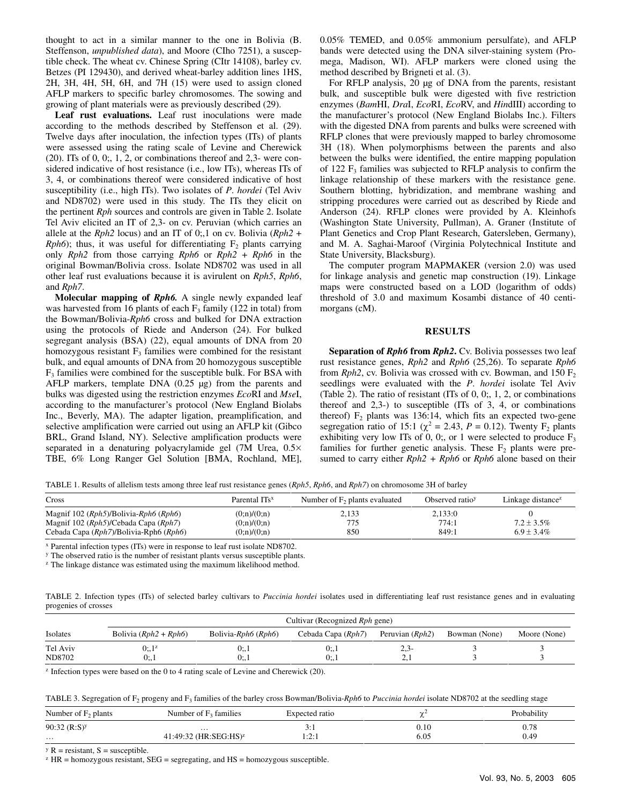thought to act in a similar manner to the one in Bolivia (B. Steffenson, *unpublished data*), and Moore (CIho 7251), a susceptible check. The wheat cv. Chinese Spring (CItr 14108), barley cv. Betzes (PI 129430), and derived wheat-barley addition lines 1HS, 2H, 3H, 4H, 5H, 6H, and 7H (15) were used to assign cloned AFLP markers to specific barley chromosomes. The sowing and growing of plant materials were as previously described (29).

**Leaf rust evaluations.** Leaf rust inoculations were made according to the methods described by Steffenson et al. (29). Twelve days after inoculation, the infection types (ITs) of plants were assessed using the rating scale of Levine and Cherewick  $(20)$ . ITs of 0, 0;, 1, 2, or combinations thereof and 2,3- were considered indicative of host resistance (i.e., low ITs), whereas ITs of 3, 4, or combinations thereof were considered indicative of host susceptibility (i.e., high ITs). Two isolates of *P*. *hordei* (Tel Aviv and ND8702) were used in this study. The ITs they elicit on the pertinent *Rph* sources and controls are given in Table 2. Isolate Tel Aviv elicited an IT of 2,3- on cv. Peruvian (which carries an allele at the *Rph2* locus) and an IT of 0;,1 on cv. Bolivia (*Rph2* + *Rph6*); thus, it was useful for differentiating  $F_2$  plants carrying only *Rph2* from those carrying *Rph6* or *Rph2* + *Rph6* in the original Bowman/Bolivia cross. Isolate ND8702 was used in all other leaf rust evaluations because it is avirulent on *Rph5*, *Rph6*, and *Rph7*.

**Molecular mapping of** *Rph6.* A single newly expanded leaf was harvested from 16 plants of each  $F_3$  family (122 in total) from the Bowman/Bolivia-*Rph6* cross and bulked for DNA extraction using the protocols of Riede and Anderson (24). For bulked segregant analysis (BSA) (22), equal amounts of DNA from 20 homozygous resistant  $F_3$  families were combined for the resistant bulk, and equal amounts of DNA from 20 homozygous susceptible  $F<sub>3</sub>$  families were combined for the susceptible bulk. For BSA with AFLP markers, template DNA (0.25 µg) from the parents and bulks was digested using the restriction enzymes *Eco*RI and *Mse*I, according to the manufacturer's protocol (New England Biolabs Inc., Beverly, MA). The adapter ligation, preamplification, and selective amplification were carried out using an AFLP kit (Gibco BRL, Grand Island, NY). Selective amplification products were separated in a denaturing polyacrylamide gel (7M Urea,  $0.5\times$ TBE, 6% Long Ranger Gel Solution [BMA, Rochland, ME],

0.05% TEMED, and 0.05% ammonium persulfate), and AFLP bands were detected using the DNA silver-staining system (Promega, Madison, WI). AFLP markers were cloned using the method described by Brigneti et al. (3).

For RFLP analysis, 20 µg of DNA from the parents, resistant bulk, and susceptible bulk were digested with five restriction enzymes (*Bam*HI, *Dra*I, *Eco*RI, *Eco*RV, and *Hin*dIII) according to the manufacturer's protocol (New England Biolabs Inc.). Filters with the digested DNA from parents and bulks were screened with RFLP clones that were previously mapped to barley chromosome 3H (18). When polymorphisms between the parents and also between the bulks were identified, the entire mapping population of 122  $F_3$  families was subjected to RFLP analysis to confirm the linkage relationship of these markers with the resistance gene. Southern blotting, hybridization, and membrane washing and stripping procedures were carried out as described by Riede and Anderson (24). RFLP clones were provided by A. Kleinhofs (Washington State University, Pullman), A. Graner (Institute of Plant Genetics and Crop Plant Research, Gatersleben, Germany), and M. A. Saghai-Maroof (Virginia Polytechnical Institute and State University, Blacksburg).

The computer program MAPMAKER (version 2.0) was used for linkage analysis and genetic map construction (19). Linkage maps were constructed based on a LOD (logarithm of odds) threshold of 3.0 and maximum Kosambi distance of 40 centimorgans (cM).

### **RESULTS**

**Separation of** *Rph6* **from** *Rph2***.** Cv. Bolivia possesses two leaf rust resistance genes, *Rph2* and *Rph6* (25,26). To separate *Rph6* from *Rph2*, cv. Bolivia was crossed with cv. Bowman, and  $150 F<sub>2</sub>$ seedlings were evaluated with the *P*. *hordei* isolate Tel Aviv (Table 2). The ratio of resistant (ITs of 0, 0;, 1, 2, or combinations thereof and 2,3-) to susceptible (ITs of 3, 4, or combinations thereof)  $F<sub>2</sub>$  plants was 136:14, which fits an expected two-gene segregation ratio of 15:1 ( $\chi^2 = 2.43$ ,  $P = 0.12$ ). Twenty F<sub>2</sub> plants exhibiting very low ITs of 0, 0;, or 1 were selected to produce  $F_3$ families for further genetic analysis. These  $F_2$  plants were presumed to carry either *Rph2 + Rph6* or *Rph6* alone based on their

TABLE 1. Results of allelism tests among three leaf rust resistance genes (*Rph5*, *Rph6*, and *Rph7*) on chromosome 3H of barley

| Cross                                                                                                                          | Parental ITs <sup>x</sup>                     | Number of $F_2$ plants evaluated | Observed ratio <sup>y</sup> | Linkage distance <sup>z</sup>    |
|--------------------------------------------------------------------------------------------------------------------------------|-----------------------------------------------|----------------------------------|-----------------------------|----------------------------------|
| Magnif $102 (Rph5)/Bolivia-Rph6 (Rph6)$<br>Magnif 102 (Rph5)/Cebada Capa (Rph7)<br>Cebada Capa $(Rph7)/B$ olivia-Rph $6(Rph6)$ | (0; n)/(0; n)<br>(0; n)/(0; n)<br>(0:n)/(0:n) | 2.133<br>775<br>850              | 2,133:0<br>774:1<br>849:1   | $7.2 \pm 3.5\%$<br>$6.9 + 3.4\%$ |

x Parental infection types (ITs) were in response to leaf rust isolate ND8702.

y The observed ratio is the number of resistant plants versus susceptible plants.

<sup>z</sup> The linkage distance was estimated using the maximum likelihood method.

TABLE 2. Infection types (ITs) of selected barley cultivars to *Puccinia hordei* isolates used in differentiating leaf rust resistance genes and in evaluating progenies of crosses

| Isolates | Bolivia $(Rph2 + Rph6)$ | Bolivia- $Rph6 (Rph6)$ | Cebada Capa $(Rph7)$ | Peruvian $(Rph2)$ | Bowman (None) | Moore (None) |
|----------|-------------------------|------------------------|----------------------|-------------------|---------------|--------------|
| Tel Aviv | $0; 1^z$                | 0;, I                  | 0;,                  | $\angle$ . 3.     |               |              |
| ND8702   | 0; 1                    | ν.<br>v., 1            | 0: 1                 | لیو سکت           |               |              |

 $z$  Infection types were based on the 0 to 4 rating scale of Levine and Cherewick (20).

TABLE 3. Segregation of F2 progeny and F3 families of the barley cross Bowman/Bolivia-*Rph6* to *Puccinia hordei* isolate ND8702 at the seedling stage

| Number of $F_2$ plants     | Number of $F_3$ families            | Expected ratio    |           | Probability |
|----------------------------|-------------------------------------|-------------------|-----------|-------------|
| $90:32$ (R:S) <sup>y</sup> | $\cdots$                            |                   | $_{0.10}$ | $_{0.78}$   |
| .                          | $41:49:32$ (HR:SEG:HS) <sup>2</sup> | $\cdots$<br>1.4.1 | 6.05      | 0.49        |

 $y R$  = resistant, S = susceptible.

 $z$  HR = homozygous resistant, SEG = segregating, and HS = homozygous susceptible.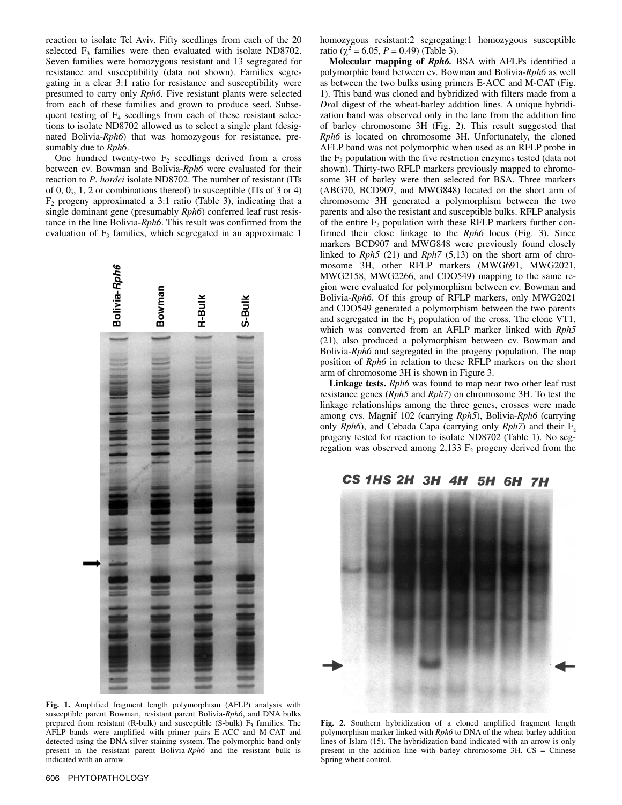reaction to isolate Tel Aviv. Fifty seedlings from each of the 20 selected  $F_3$  families were then evaluated with isolate ND8702. Seven families were homozygous resistant and 13 segregated for resistance and susceptibility (data not shown). Families segregating in a clear 3:1 ratio for resistance and susceptibility were presumed to carry only *Rph6*. Five resistant plants were selected from each of these families and grown to produce seed. Subsequent testing of  $F_4$  seedlings from each of these resistant selections to isolate ND8702 allowed us to select a single plant (designated Bolivia-*Rph6*) that was homozygous for resistance, presumably due to *Rph6*.

One hundred twenty-two  $F_2$  seedlings derived from a cross between cv. Bowman and Bolivia-*Rph6* were evaluated for their reaction to *P*. *hordei* isolate ND8702. The number of resistant (ITs of 0, 0;, 1, 2 or combinations thereof) to susceptible (ITs of 3 or 4)  $F<sub>2</sub>$  progeny approximated a 3:1 ratio (Table 3), indicating that a single dominant gene (presumably *Rph6*) conferred leaf rust resistance in the line Bolivia-*Rph6*. This result was confirmed from the evaluation of  $F_3$  families, which segregated in an approximate 1



**Fig. 1.** Amplified fragment length polymorphism (AFLP) analysis with susceptible parent Bowman, resistant parent Bolivia-*Rph6*, and DNA bulks prepared from resistant (R-bulk) and susceptible (S-bulk)  $F_3$  families. The AFLP bands were amplified with primer pairs E-ACC and M-CAT and detected using the DNA silver-staining system. The polymorphic band only present in the resistant parent Bolivia-*Rph6* and the resistant bulk is indicated with an arrow.

homozygous resistant:2 segregating:1 homozygous susceptible ratio ( $\chi^2$  = 6.05, *P* = 0.49) (Table 3).

**Molecular mapping of** *Rph6.* BSA with AFLPs identified a polymorphic band between cv. Bowman and Bolivia-*Rph6* as well as between the two bulks using primers E-ACC and M-CAT (Fig. 1). This band was cloned and hybridized with filters made from a *Dra*I digest of the wheat-barley addition lines. A unique hybridization band was observed only in the lane from the addition line of barley chromosome 3H (Fig. 2). This result suggested that *Rph6* is located on chromosome 3H. Unfortunately, the cloned AFLP band was not polymorphic when used as an RFLP probe in the  $F_3$  population with the five restriction enzymes tested (data not shown). Thirty-two RFLP markers previously mapped to chromosome 3H of barley were then selected for BSA. Three markers (ABG70, BCD907, and MWG848) located on the short arm of chromosome 3H generated a polymorphism between the two parents and also the resistant and susceptible bulks. RFLP analysis of the entire  $F_3$  population with these RFLP markers further confirmed their close linkage to the *Rph6* locus (Fig. 3). Since markers BCD907 and MWG848 were previously found closely linked to *Rph5* (21) and *Rph7* (5,13) on the short arm of chromosome 3H, other RFLP markers (MWG691, MWG2021, MWG2158, MWG2266, and CDO549) mapping to the same region were evaluated for polymorphism between cv. Bowman and Bolivia-*Rph6*. Of this group of RFLP markers, only MWG2021 and CDO549 generated a polymorphism between the two parents and segregated in the  $F_3$  population of the cross. The clone VT1, which was converted from an AFLP marker linked with *Rph5* (21), also produced a polymorphism between cv. Bowman and Bolivia-*Rph6* and segregated in the progeny population. The map position of *Rph6* in relation to these RFLP markers on the short arm of chromosome 3H is shown in Figure 3.

**Linkage tests.** *Rph6* was found to map near two other leaf rust resistance genes (*Rph5* and *Rph7*) on chromosome 3H. To test the linkage relationships among the three genes, crosses were made among cvs. Magnif 102 (carrying *Rph5*), Bolivia-*Rph6* (carrying only *Rph6*), and Cebada Capa (carrying only *Rph7*) and their F<sub>2</sub> progeny tested for reaction to isolate ND8702 (Table 1). No segregation was observed among 2,133  $F_2$  progeny derived from the

# CS 1HS 2H 3H 4H 5H 6H 7H



**Fig. 2.** Southern hybridization of a cloned amplified fragment length polymorphism marker linked with *Rph6* to DNA of the wheat-barley addition lines of Islam (15). The hybridization band indicated with an arrow is only present in the addition line with barley chromosome 3H. CS = Chinese Spring wheat control.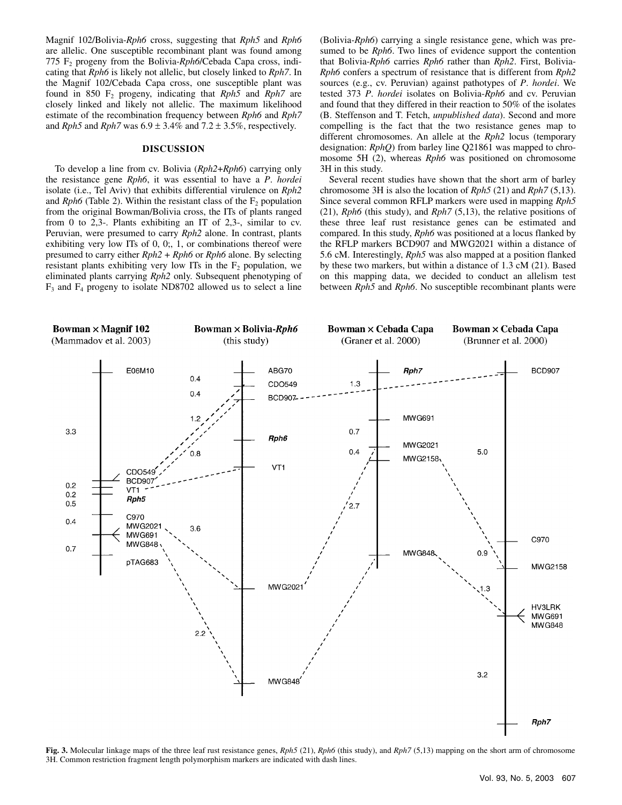Magnif 102/Bolivia-*Rph6* cross, suggesting that *Rph5* and *Rph6* are allelic. One susceptible recombinant plant was found among 775 F2 progeny from the Bolivia-*Rph6*/Cebada Capa cross, indicating that *Rph6* is likely not allelic, but closely linked to *Rph7*. In the Magnif 102/Cebada Capa cross, one susceptible plant was found in 850 F2 progeny, indicating that *Rph5* and *Rph7* are closely linked and likely not allelic. The maximum likelihood estimate of the recombination frequency between *Rph6* and *Rph7* and *Rph5* and *Rph7* was  $6.9 \pm 3.4\%$  and  $7.2 \pm 3.5\%$ , respectively.

### **DISCUSSION**

To develop a line from cv. Bolivia (*Rph2*+*Rph6*) carrying only the resistance gene *Rph6*, it was essential to have a *P*. *hordei* isolate (i.e., Tel Aviv) that exhibits differential virulence on *Rph2*  and *Rph6* (Table 2). Within the resistant class of the  $F<sub>2</sub>$  population from the original Bowman/Bolivia cross, the ITs of plants ranged from 0 to 2,3-. Plants exhibiting an IT of 2,3-, similar to cv. Peruvian, were presumed to carry *Rph2* alone. In contrast, plants exhibiting very low ITs of 0, 0;, 1, or combinations thereof were presumed to carry either *Rph2* + *Rph6* or *Rph6* alone. By selecting resistant plants exhibiting very low ITs in the  $F<sub>2</sub>$  population, we eliminated plants carrying *Rph2* only. Subsequent phenotyping of  $F_3$  and  $F_4$  progeny to isolate ND8702 allowed us to select a line (Bolivia-*Rph6*) carrying a single resistance gene, which was presumed to be *Rph6*. Two lines of evidence support the contention that Bolivia-*Rph6* carries *Rph6* rather than *Rph2*. First, Bolivia-*Rph6* confers a spectrum of resistance that is different from *Rph2* sources (e.g., cv. Peruvian) against pathotypes of *P*. *hordei*. We tested 373 *P*. *hordei* isolates on Bolivia-*Rph6* and cv. Peruvian and found that they differed in their reaction to 50% of the isolates (B. Steffenson and T. Fetch, *unpublished data*). Second and more compelling is the fact that the two resistance genes map to different chromosomes. An allele at the *Rph2* locus (temporary designation: *RphQ*) from barley line Q21861 was mapped to chromosome 5H (2), whereas *Rph6* was positioned on chromosome 3H in this study.

Several recent studies have shown that the short arm of barley chromosome 3H is also the location of *Rph5* (21) and *Rph7* (5,13). Since several common RFLP markers were used in mapping *Rph5* (21), *Rph6* (this study), and *Rph7* (5,13), the relative positions of these three leaf rust resistance genes can be estimated and compared. In this study, *Rph6* was positioned at a locus flanked by the RFLP markers BCD907 and MWG2021 within a distance of 5.6 cM. Interestingly, *Rph5* was also mapped at a position flanked by these two markers, but within a distance of 1.3 cM (21). Based on this mapping data, we decided to conduct an allelism test between *Rph5* and *Rph6*. No susceptible recombinant plants were



**Fig. 3.** Molecular linkage maps of the three leaf rust resistance genes, *Rph5* (21), *Rph6* (this study), and *Rph7* (5,13) mapping on the short arm of chromosome 3H. Common restriction fragment length polymorphism markers are indicated with dash lines.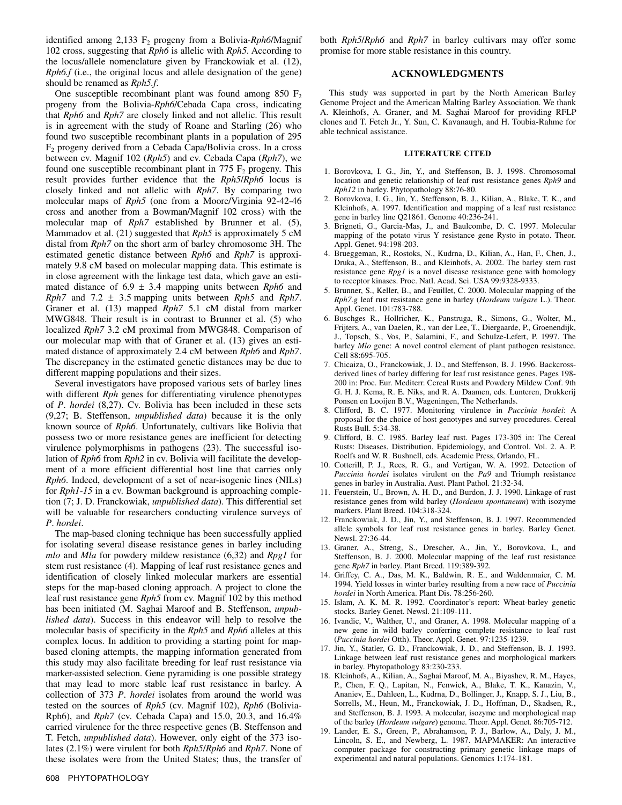identified among 2,133 F<sub>2</sub> progeny from a Bolivia-*Rph6*/Magnif 102 cross, suggesting that *Rph6* is allelic with *Rph5*. According to the locus/allele nomenclature given by Franckowiak et al. (12), *Rph6.f* (i.e., the original locus and allele designation of the gene) should be renamed as *Rph5.f*.

One susceptible recombinant plant was found among 850  $F_2$ progeny from the Bolivia-*Rph6*/Cebada Capa cross, indicating that *Rph6* and *Rph7* are closely linked and not allelic. This result is in agreement with the study of Roane and Starling (26) who found two susceptible recombinant plants in a population of 295  $F<sub>2</sub>$  progeny derived from a Cebada Capa/Bolivia cross. In a cross between cv. Magnif 102 (*Rph5*) and cv. Cebada Capa (*Rph7*), we found one susceptible recombinant plant in 775  $F_2$  progeny. This result provides further evidence that the *Rph5*/*Rph6* locus is closely linked and not allelic with *Rph7*. By comparing two molecular maps of *Rph5* (one from a Moore/Virginia 92-42-46 cross and another from a Bowman/Magnif 102 cross) with the molecular map of *Rph7* established by Brunner et al. (5), Mammadov et al. (21) suggested that *Rph5* is approximately 5 cM distal from *Rph7* on the short arm of barley chromosome 3H. The estimated genetic distance between *Rph6* and *Rph7* is approximately 9.8 cM based on molecular mapping data. This estimate is in close agreement with the linkage test data, which gave an estimated distance of  $6.9 \pm 3.4$  mapping units between *Rph6* and *Rph7* and 7.2  $\pm$  3.5 mapping units between *Rph5* and *Rph7*. Graner et al. (13) mapped *Rph7* 5.1 cM distal from marker MWG848. Their result is in contrast to Brunner et al. (5) who localized *Rph7* 3.2 cM proximal from MWG848. Comparison of our molecular map with that of Graner et al. (13) gives an estimated distance of approximately 2.4 cM between *Rph6* and *Rph7*. The discrepancy in the estimated genetic distances may be due to different mapping populations and their sizes.

Several investigators have proposed various sets of barley lines with different *Rph* genes for differentiating virulence phenotypes of *P*. *hordei* (8,27). Cv. Bolivia has been included in these sets (9,27; B. Steffenson, *unpublished data*) because it is the only known source of *Rph6*. Unfortunately, cultivars like Bolivia that possess two or more resistance genes are inefficient for detecting virulence polymorphisms in pathogens (23). The successful isolation of *Rph6* from *Rph2* in cv. Bolivia will facilitate the development of a more efficient differential host line that carries only *Rph6*. Indeed, development of a set of near-isogenic lines (NILs) for *Rph1*-*15* in a cv. Bowman background is approaching completion (7; J. D. Franckowiak, *unpublished data*). This differential set will be valuable for researchers conducting virulence surveys of *P*. *hordei*.

The map-based cloning technique has been successfully applied for isolating several disease resistance genes in barley including *mlo* and *Mla* for powdery mildew resistance (6,32) and *Rpg1* for stem rust resistance (4). Mapping of leaf rust resistance genes and identification of closely linked molecular markers are essential steps for the map-based cloning approach. A project to clone the leaf rust resistance gene *Rph5* from cv. Magnif 102 by this method has been initiated (M. Saghai Maroof and B. Steffenson, *unpublished data*). Success in this endeavor will help to resolve the molecular basis of specificity in the *Rph5* and *Rph6* alleles at this complex locus. In addition to providing a starting point for mapbased cloning attempts, the mapping information generated from this study may also facilitate breeding for leaf rust resistance via marker-assisted selection. Gene pyramiding is one possible strategy that may lead to more stable leaf rust resistance in barley. A collection of 373 *P*. *hordei* isolates from around the world was tested on the sources of *Rph5* (cv. Magnif 102), *Rph6* (Bolivia-Rph6), and *Rph7* (cv. Cebada Capa) and 15.0, 20.3, and 16.4% carried virulence for the three respective genes (B. Steffenson and T. Fetch, *unpublished data*). However, only eight of the 373 isolates (2.1%) were virulent for both *Rph5*/*Rph6* and *Rph7*. None of these isolates were from the United States; thus, the transfer of

both *Rph5*/*Rph6* and *Rph7* in barley cultivars may offer some promise for more stable resistance in this country.

## **ACKNOWLEDGMENTS**

This study was supported in part by the North American Barley Genome Project and the American Malting Barley Association. We thank A. Kleinhofs, A. Graner, and M. Saghai Maroof for providing RFLP clones and T. Fetch Jr., Y. Sun, C. Kavanaugh, and H. Toubia-Rahme for able technical assistance.

#### **LITERATURE CITED**

- 1. Borovkova, I. G., Jin, Y., and Steffenson, B. J. 1998. Chromosomal location and genetic relationship of leaf rust resistance genes *Rph9* and *Rph12* in barley. Phytopathology 88:76-80.
- 2. Borovkova, I. G., Jin, Y., Steffenson, B. J., Kilian, A., Blake, T. K., and Kleinhofs, A. 1997. Identification and mapping of a leaf rust resistance gene in barley line Q21861. Genome 40:236-241.
- 3. Brigneti, G., Garcia-Mas, J., and Baulcombe, D. C. 1997. Molecular mapping of the potato virus Y resistance gene Rysto in potato. Theor. Appl. Genet. 94:198-203.
- 4. Brueggeman, R., Rostoks, N., Kudrna, D., Kilian, A., Han, F., Chen, J., Druka, A., Steffenson, B., and Kleinhofs, A. 2002. The barley stem rust resistance gene *Rpg1* is a novel disease resistance gene with homology to receptor kinases. Proc. Natl. Acad. Sci. USA 99:9328-9333.
- 5. Brunner, S., Keller, B., and Feuillet, C. 2000. Molecular mapping of the *Rph7.g* leaf rust resistance gene in barley (*Hordeum vulgare* L.). Theor. Appl. Genet. 101:783-788.
- 6. Buschges R., Hollricher, K., Panstruga, R., Simons, G., Wolter, M., Frijters, A., van Daelen, R., van der Lee, T., Diergaarde, P., Groenendijk, J., Topsch, S., Vos, P., Salamini, F., and Schulze-Lefert, P. 1997. The barley *Mlo* gene: A novel control element of plant pathogen resistance. Cell 88:695-705.
- 7. Chicaiza, O., Franckowiak, J. D., and Steffenson, B. J. 1996. Backcrossderived lines of barley differing for leaf rust resistance genes. Pages 198- 200 in: Proc. Eur. Mediterr. Cereal Rusts and Powdery Mildew Conf. 9th G. H. J. Kema, R. E. Niks, and R. A. Daamen, eds. Lunteren, Drukkerij Ponsen en Looijen B.V., Wageningen, The Netherlands.
- 8. Clifford, B. C. 1977. Monitoring virulence in *Puccinia hordei*: A proposal for the choice of host genotypes and survey procedures. Cereal Rusts Bull. 5:34-38.
- 9. Clifford, B. C. 1985. Barley leaf rust. Pages 173-305 in: The Cereal Rusts: Diseases, Distribution, Epidemiology, and Control. Vol. 2. A. P. Roelfs and W. R. Bushnell, eds. Academic Press, Orlando, FL.
- 10. Cotterill, P. J., Rees, R. G., and Vertigan, W. A. 1992. Detection of *Puccinia hordei* isolates virulent on the *Pa9* and Triumph resistance genes in barley in Australia. Aust. Plant Pathol. 21:32-34.
- 11. Feuerstein, U., Brown, A. H. D., and Burdon, J. J. 1990. Linkage of rust resistance genes from wild barley (*Hordeum spontaneum*) with isozyme markers. Plant Breed. 104:318-324.
- 12. Franckowiak, J. D., Jin, Y., and Steffenson, B. J. 1997. Recommended allele symbols for leaf rust resistance genes in barley. Barley Genet. Newsl. 27:36-44.
- 13. Graner, A., Streng, S., Drescher, A., Jin, Y., Borovkova, I., and Steffenson, B. J. 2000. Molecular mapping of the leaf rust resistance gene *Rph7* in barley. Plant Breed. 119:389-392*.*
- 14. Griffey, C. A., Das, M. K., Baldwin, R. E., and Waldenmaier, C. M. 1994. Yield losses in winter barley resulting from a new race of *Puccinia hordei* in North America. Plant Dis. 78:256-260.
- 15. Islam, A. K. M. R. 1992. Coordinator's report: Wheat-barley genetic stocks. Barley Genet. Newsl. 21:109-111.
- 16. Ivandic, V., Walther, U., and Graner, A. 1998. Molecular mapping of a new gene in wild barley conferring complete resistance to leaf rust (*Puccinia hordei* Otth). Theor. Appl. Genet. 97:1235-1239.
- 17. Jin, Y., Statler, G. D., Franckowiak, J. D., and Steffenson, B. J. 1993. Linkage between leaf rust resistance genes and morphological markers in barley. Phytopathology 83:230-233.
- 18. Kleinhofs, A., Kilian, A., Saghai Maroof, M. A., Biyashev, R. M., Hayes, P., Chen, F. Q., Lapitan, N., Fenwick, A., Blake, T. K., Kanazin, V., Ananiev, E., Dahleen, L., Kudrna, D., Bollinger, J., Knapp, S. J., Liu, B., Sorrells, M., Heun, M., Franckowiak, J. D., Hoffman, D., Skadsen, R., and Steffenson, B. J. 1993. A molecular, isozyme and morphological map of the barley (*Hordeum vulgare*) genome. Theor. Appl. Genet. 86:705-712.
- 19. Lander, E. S., Green, P., Abrahamson, P. J., Barlow, A., Daly, J. M., Lincoln, S. E., and Newberg, L. 1987. MAPMAKER: An interactive computer package for constructing primary genetic linkage maps of experimental and natural populations. Genomics 1:174-181.